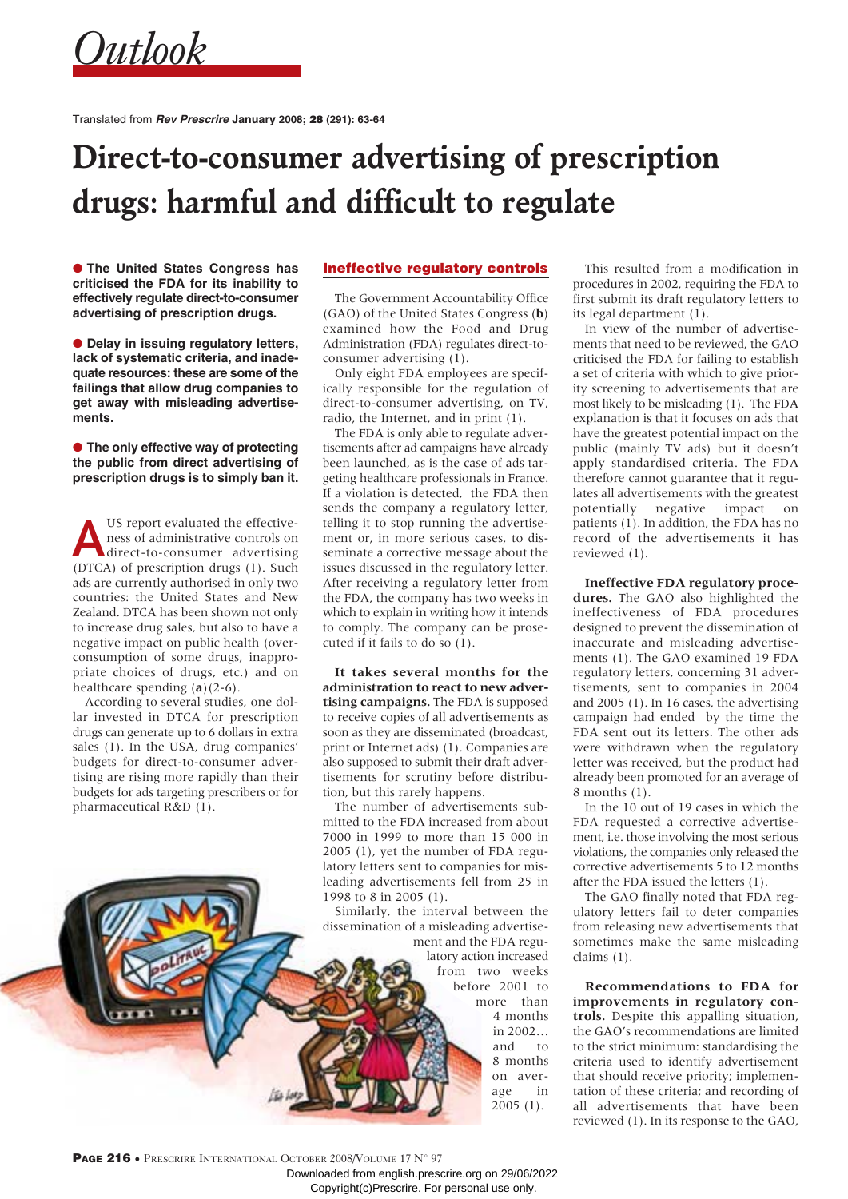*Outlook*

Translated from **Rev Prescrire January 2008;** 28 **(291): 63-64**

# **Direct-to-consumer advertising of prescription drugs: harmful and difficult to regulate**

● **The United States Congress has criticised the FDA for its inability to effectively regulate direct-to-consumer advertising of prescription drugs.**

● **Delay in issuing regulatory letters, lack of systematic criteria, and inadequate resources: these are some of the failings that allow drug companies to get away with misleading advertisements.**

● **The only effective way of protecting the public from direct advertising of prescription drugs is to simply ban it.** 

US report evaluated the effective-<br>ness of administrative controls on<br>direct-to-consumer advertising ness of administrative controls on direct-to-consumer advertising (DTCA) of prescription drugs (1). Such ads are currently authorised in only two countries: the United States and New Zealand. DTCA has been shown not only to increase drug sales, but also to have a negative impact on public health (overconsumption of some drugs, inappropriate choices of drugs, etc.) and on healthcare spending (**a**)(2-6).

According to several studies, one dollar invested in DTCA for prescription drugs can generate up to 6 dollars in extra sales (1). In the USA, drug companies' budgets for direct-to-consumer advertising are rising more rapidly than their budgets for ads targeting prescribers or for pharmaceutical R&D (1).

### Ineffective regulatory controls

The Government Accountability Office (GAO) of the United States Congress (**b**) examined how the Food and Drug Administration (FDA) regulates direct-toconsumer advertising (1).

Only eight FDA employees are specifically responsible for the regulation of direct-to-consumer advertising, on TV, radio, the Internet, and in print (1).

The FDA is only able to regulate advertisements after ad campaigns have already been launched, as is the case of ads targeting healthcare professionals in France. If a violation is detected, the FDA then sends the company a regulatory letter, telling it to stop running the advertisement or, in more serious cases, to disseminate a corrective message about the issues discussed in the regulatory letter. After receiving a regulatory letter from the FDA, the company has two weeks in which to explain in writing how it intends to comply. The company can be prosecuted if it fails to do so (1).

**It takes several months for the administration to react to new advertising campaigns.** The FDA is supposed to receive copies of all advertisements as soon as they are disseminated (broadcast, print or Internet ads) (1). Companies are also supposed to submit their draft advertisements for scrutiny before distribution, but this rarely happens.

The number of advertisements submitted to the FDA increased from about 7000 in 1999 to more than 15 000 in 2005 (1), yet the number of FDA regulatory letters sent to companies for misleading advertisements fell from 25 in 1998 to 8 in 2005 (1).

Similarly, the interval between the dissemination of a misleading advertisement and the FDA regu-

latory action increased from two weeks before 2001 to more than 4 months in 2002… and to 8 months on average in 2005 (1).

This resulted from a modification in procedures in 2002, requiring the FDA to first submit its draft regulatory letters to its legal department (1).

In view of the number of advertisements that need to be reviewed, the GAO criticised the FDA for failing to establish a set of criteria with which to give priority screening to advertisements that are most likely to be misleading (1). The FDA explanation is that it focuses on ads that have the greatest potential impact on the public (mainly TV ads) but it doesn't apply standardised criteria. The FDA therefore cannot guarantee that it regulates all advertisements with the greatest potentially negative impact on patients (1). In addition, the FDA has no record of the advertisements it has reviewed (1).

**Ineffective FDA regulatory procedures.** The GAO also highlighted the ineffectiveness of FDA procedures designed to prevent the dissemination of inaccurate and misleading advertisements (1). The GAO examined 19 FDA regulatory letters, concerning 31 advertisements, sent to companies in 2004 and 2005 (1). In 16 cases, the advertising campaign had ended by the time the FDA sent out its letters. The other ads were withdrawn when the regulatory letter was received, but the product had already been promoted for an average of 8 months (1).

In the 10 out of 19 cases in which the FDA requested a corrective advertisement, i.e. those involving the most serious violations, the companies only released the corrective advertisements 5 to 12 months after the FDA issued the letters (1).

The GAO finally noted that FDA regulatory letters fail to deter companies from releasing new advertisements that sometimes make the same misleading claims (1).

**Recommendations to FDA for improvements in regulatory controls.** Despite this appalling situation, the GAO's recommendations are limited to the strict minimum: standardising the criteria used to identify advertisement that should receive priority; implementation of these criteria; and recording of all advertisements that have been reviewed (1). In its response to the GAO,